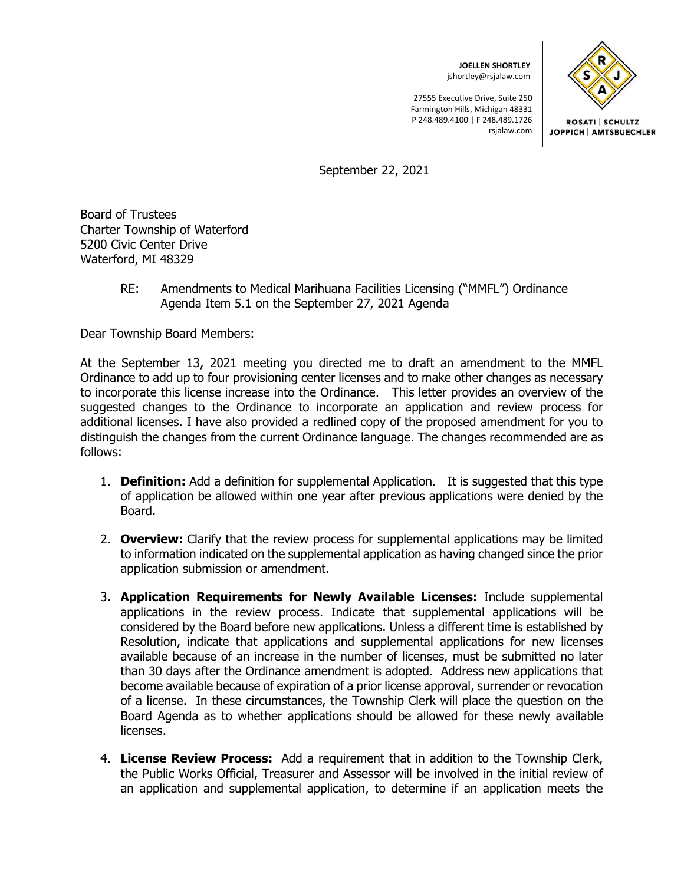**JOELLEN SHORTLEY**  jshortley@rsjalaw.com

27555 Executive Drive, Suite 250 Farmington Hills, Michigan 48331 P 248.489.4100 | F 248.489.1726 rsjalaw.com



**ROSATI SCHULTZ** JOPPICH | AMTSBUECHLER

September 22, 2021

Board of Trustees Charter Township of Waterford 5200 Civic Center Drive Waterford, MI 48329

> RE: Amendments to Medical Marihuana Facilities Licensing ("MMFL") Ordinance Agenda Item 5.1 on the September 27, 2021 Agenda

Dear Township Board Members:

At the September 13, 2021 meeting you directed me to draft an amendment to the MMFL Ordinance to add up to four provisioning center licenses and to make other changes as necessary to incorporate this license increase into the Ordinance. This letter provides an overview of the suggested changes to the Ordinance to incorporate an application and review process for additional licenses. I have also provided a redlined copy of the proposed amendment for you to distinguish the changes from the current Ordinance language. The changes recommended are as follows:

- 1. **Definition:** Add a definition for supplemental Application. It is suggested that this type of application be allowed within one year after previous applications were denied by the Board.
- 2. **Overview:** Clarify that the review process for supplemental applications may be limited to information indicated on the supplemental application as having changed since the prior application submission or amendment.
- 3. **Application Requirements for Newly Available Licenses:** Include supplemental applications in the review process. Indicate that supplemental applications will be considered by the Board before new applications. Unless a different time is established by Resolution, indicate that applications and supplemental applications for new licenses available because of an increase in the number of licenses, must be submitted no later than 30 days after the Ordinance amendment is adopted. Address new applications that become available because of expiration of a prior license approval, surrender or revocation of a license. In these circumstances, the Township Clerk will place the question on the Board Agenda as to whether applications should be allowed for these newly available licenses.
- 4. **License Review Process:** Add a requirement that in addition to the Township Clerk, the Public Works Official, Treasurer and Assessor will be involved in the initial review of an application and supplemental application, to determine if an application meets the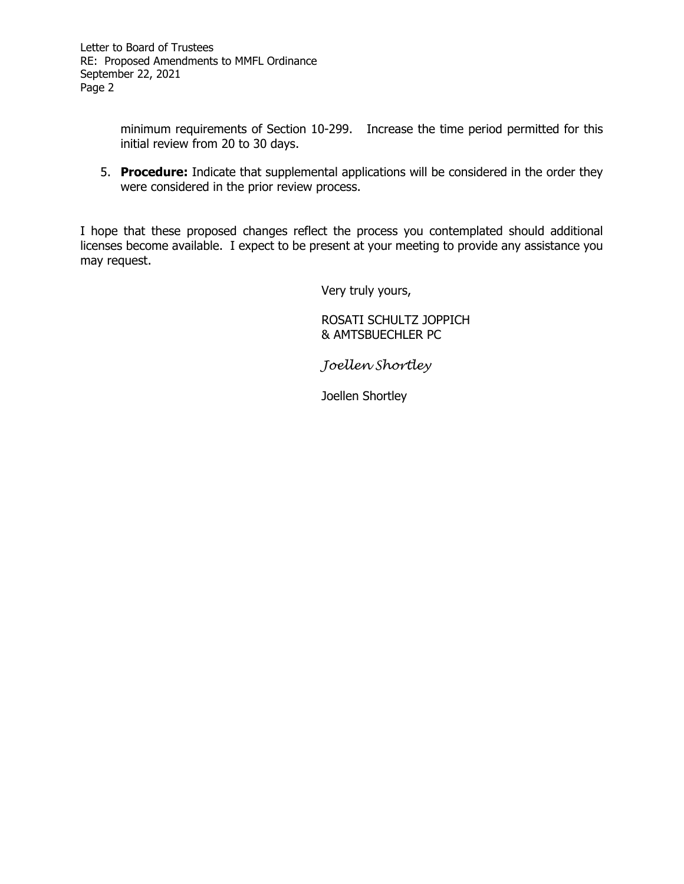minimum requirements of Section 10-299. Increase the time period permitted for this initial review from 20 to 30 days.

5. **Procedure:** Indicate that supplemental applications will be considered in the order they were considered in the prior review process.

I hope that these proposed changes reflect the process you contemplated should additional licenses become available. I expect to be present at your meeting to provide any assistance you may request.

Very truly yours,

 ROSATI SCHULTZ JOPPICH & AMTSBUECHLER PC

*Joellen Shortley* 

Joellen Shortley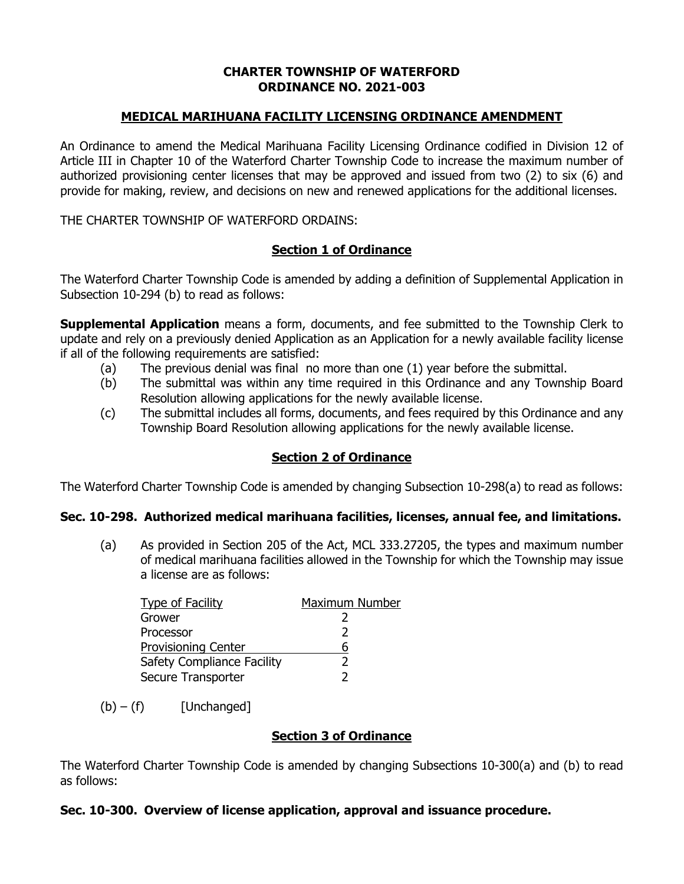## **CHARTER TOWNSHIP OF WATERFORD ORDINANCE NO. 2021-003**

# **MEDICAL MARIHUANA FACILITY LICENSING ORDINANCE AMENDMENT**

An Ordinance to amend the Medical Marihuana Facility Licensing Ordinance codified in Division 12 of Article III in Chapter 10 of the Waterford Charter Township Code to increase the maximum number of authorized provisioning center licenses that may be approved and issued from two (2) to six (6) and provide for making, review, and decisions on new and renewed applications for the additional licenses.

THE CHARTER TOWNSHIP OF WATERFORD ORDAINS:

## **Section 1 of Ordinance**

The Waterford Charter Township Code is amended by adding a definition of Supplemental Application in Subsection 10-294 (b) to read as follows:

**Supplemental Application** means a form, documents, and fee submitted to the Township Clerk to update and rely on a previously denied Application as an Application for a newly available facility license if all of the following requirements are satisfied:

- (a) The previous denial was final no more than one (1) year before the submittal.
- (b) The submittal was within any time required in this Ordinance and any Township Board Resolution allowing applications for the newly available license.
- (c) The submittal includes all forms, documents, and fees required by this Ordinance and any Township Board Resolution allowing applications for the newly available license.

### **Section 2 of Ordinance**

The Waterford Charter Township Code is amended by changing Subsection 10-298(a) to read as follows:

### **Sec. 10-298. Authorized medical marihuana facilities, licenses, annual fee, and limitations.**

(a) As provided in Section 205 of the Act, MCL 333.27205, the types and maximum number of medical marihuana facilities allowed in the Township for which the Township may issue a license are as follows:

| <b>Type of Facility</b>           | Maximum Number |
|-----------------------------------|----------------|
| Grower                            |                |
| Processor                         |                |
| <b>Provisioning Center</b>        | 6              |
| <b>Safety Compliance Facility</b> |                |
| Secure Transporter                |                |

 $(b) - (f)$  [Unchanged]

### **Section 3 of Ordinance**

The Waterford Charter Township Code is amended by changing Subsections 10-300(a) and (b) to read as follows:

### **Sec. 10-300. Overview of license application, approval and issuance procedure.**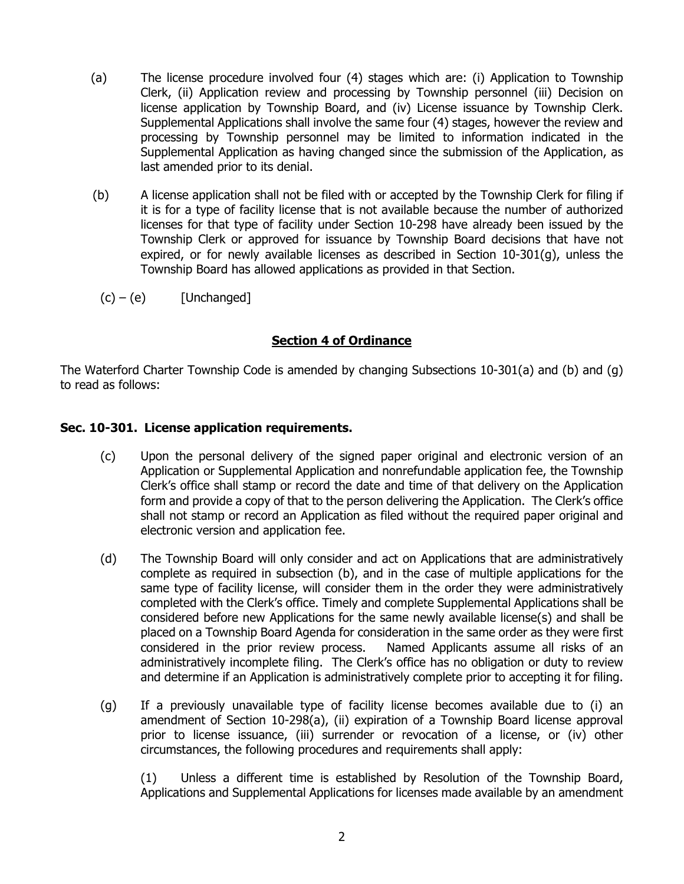- (a) The license procedure involved four (4) stages which are: (i) Application to Township Clerk, (ii) Application review and processing by Township personnel (iii) Decision on license application by Township Board, and (iv) License issuance by Township Clerk. Supplemental Applications shall involve the same four (4) stages, however the review and processing by Township personnel may be limited to information indicated in the Supplemental Application as having changed since the submission of the Application, as last amended prior to its denial.
- (b) A license application shall not be filed with or accepted by the Township Clerk for filing if it is for a type of facility license that is not available because the number of authorized licenses for that type of facility under Section 10-298 have already been issued by the Township Clerk or approved for issuance by Township Board decisions that have not expired, or for newly available licenses as described in Section 10-301(g), unless the Township Board has allowed applications as provided in that Section.
	- $(c) (e)$  [Unchanged]

# **Section 4 of Ordinance**

The Waterford Charter Township Code is amended by changing Subsections 10-301(a) and (b) and (g) to read as follows:

## **Sec. 10-301. License application requirements.**

- (c) Upon the personal delivery of the signed paper original and electronic version of an Application or Supplemental Application and nonrefundable application fee, the Township Clerk's office shall stamp or record the date and time of that delivery on the Application form and provide a copy of that to the person delivering the Application. The Clerk's office shall not stamp or record an Application as filed without the required paper original and electronic version and application fee.
- (d) The Township Board will only consider and act on Applications that are administratively complete as required in subsection (b), and in the case of multiple applications for the same type of facility license, will consider them in the order they were administratively completed with the Clerk's office. Timely and complete Supplemental Applications shall be considered before new Applications for the same newly available license(s) and shall be placed on a Township Board Agenda for consideration in the same order as they were first considered in the prior review process. Named Applicants assume all risks of an administratively incomplete filing. The Clerk's office has no obligation or duty to review and determine if an Application is administratively complete prior to accepting it for filing.
- (g) If a previously unavailable type of facility license becomes available due to (i) an amendment of Section 10-298(a), (ii) expiration of a Township Board license approval prior to license issuance, (iii) surrender or revocation of a license, or (iv) other circumstances, the following procedures and requirements shall apply:

 (1) Unless a different time is established by Resolution of the Township Board, Applications and Supplemental Applications for licenses made available by an amendment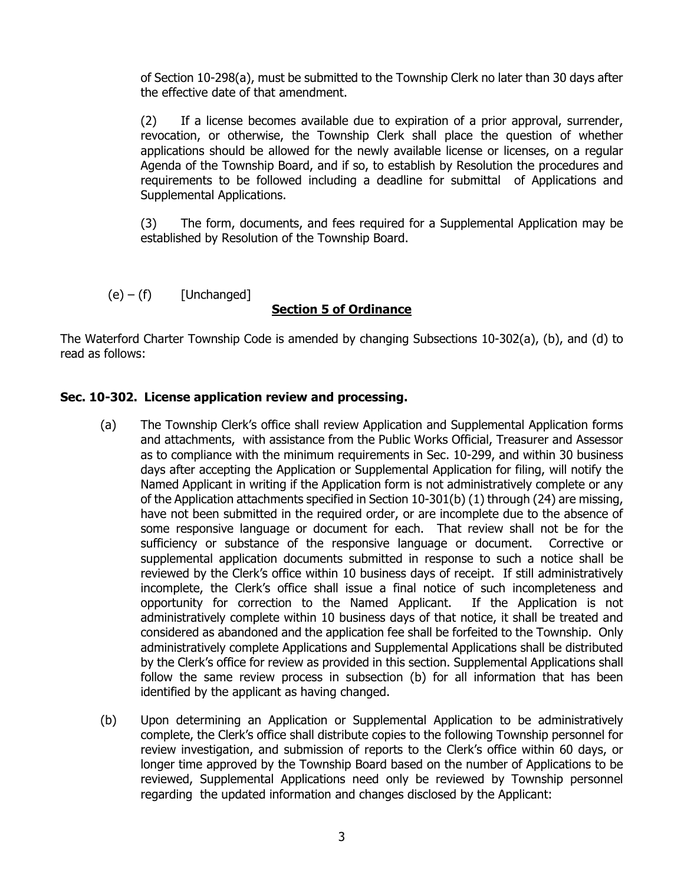of Section 10-298(a), must be submitted to the Township Clerk no later than 30 days after the effective date of that amendment.

 (2) If a license becomes available due to expiration of a prior approval, surrender, revocation, or otherwise, the Township Clerk shall place the question of whether applications should be allowed for the newly available license or licenses, on a regular Agenda of the Township Board, and if so, to establish by Resolution the procedures and requirements to be followed including a deadline for submittal of Applications and Supplemental Applications.

 (3) The form, documents, and fees required for a Supplemental Application may be established by Resolution of the Township Board.

 $(e) - (f)$  [Unchanged]

# **Section 5 of Ordinance**

The Waterford Charter Township Code is amended by changing Subsections 10-302(a), (b), and (d) to read as follows:

# **Sec. 10-302. License application review and processing.**

- (a) The Township Clerk's office shall review Application and Supplemental Application forms and attachments, with assistance from the Public Works Official, Treasurer and Assessor as to compliance with the minimum requirements in Sec. 10-299, and within 30 business days after accepting the Application or Supplemental Application for filing, will notify the Named Applicant in writing if the Application form is not administratively complete or any of the Application attachments specified in Section 10-301(b) (1) through (24) are missing, have not been submitted in the required order, or are incomplete due to the absence of some responsive language or document for each. That review shall not be for the sufficiency or substance of the responsive language or document. Corrective or supplemental application documents submitted in response to such a notice shall be reviewed by the Clerk's office within 10 business days of receipt. If still administratively incomplete, the Clerk's office shall issue a final notice of such incompleteness and opportunity for correction to the Named Applicant. If the Application is not administratively complete within 10 business days of that notice, it shall be treated and considered as abandoned and the application fee shall be forfeited to the Township. Only administratively complete Applications and Supplemental Applications shall be distributed by the Clerk's office for review as provided in this section. Supplemental Applications shall follow the same review process in subsection (b) for all information that has been identified by the applicant as having changed.
- (b) Upon determining an Application or Supplemental Application to be administratively complete, the Clerk's office shall distribute copies to the following Township personnel for review investigation, and submission of reports to the Clerk's office within 60 days, or longer time approved by the Township Board based on the number of Applications to be reviewed, Supplemental Applications need only be reviewed by Township personnel regarding the updated information and changes disclosed by the Applicant: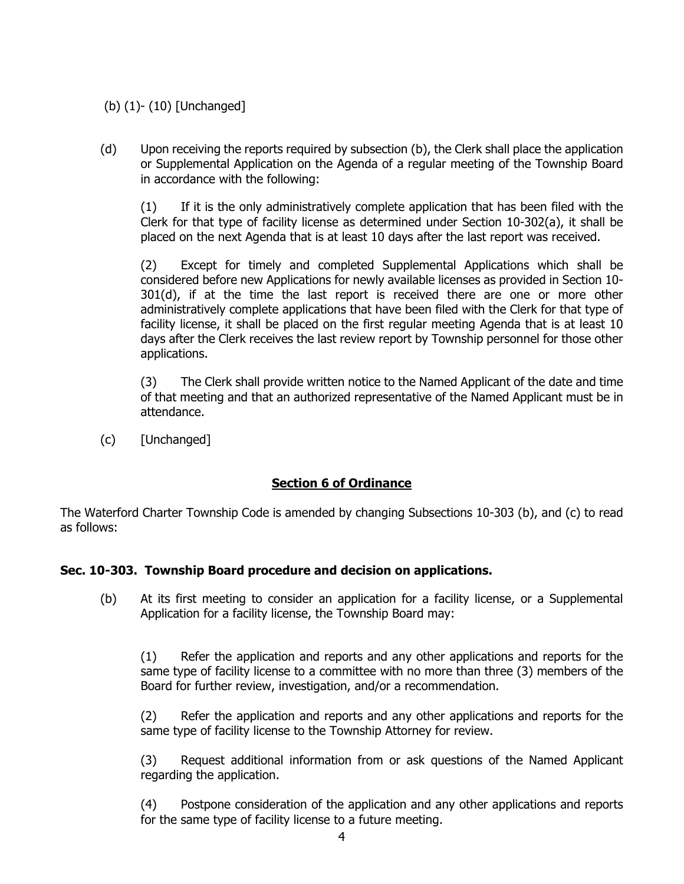# (b) (1)- (10) [Unchanged]

(d) Upon receiving the reports required by subsection (b), the Clerk shall place the application or Supplemental Application on the Agenda of a regular meeting of the Township Board in accordance with the following:

(1) If it is the only administratively complete application that has been filed with the Clerk for that type of facility license as determined under Section 10-302(a), it shall be placed on the next Agenda that is at least 10 days after the last report was received.

(2) Except for timely and completed Supplemental Applications which shall be considered before new Applications for newly available licenses as provided in Section 10- 301(d), if at the time the last report is received there are one or more other administratively complete applications that have been filed with the Clerk for that type of facility license, it shall be placed on the first regular meeting Agenda that is at least 10 days after the Clerk receives the last review report by Township personnel for those other applications.

(3) The Clerk shall provide written notice to the Named Applicant of the date and time of that meeting and that an authorized representative of the Named Applicant must be in attendance.

(c) [Unchanged]

# **Section 6 of Ordinance**

The Waterford Charter Township Code is amended by changing Subsections 10-303 (b), and (c) to read as follows:

# **Sec. 10-303. Township Board procedure and decision on applications.**

(b) At its first meeting to consider an application for a facility license, or a Supplemental Application for a facility license, the Township Board may:

(1) Refer the application and reports and any other applications and reports for the same type of facility license to a committee with no more than three (3) members of the Board for further review, investigation, and/or a recommendation.

(2) Refer the application and reports and any other applications and reports for the same type of facility license to the Township Attorney for review.

(3) Request additional information from or ask questions of the Named Applicant regarding the application.

(4) Postpone consideration of the application and any other applications and reports for the same type of facility license to a future meeting.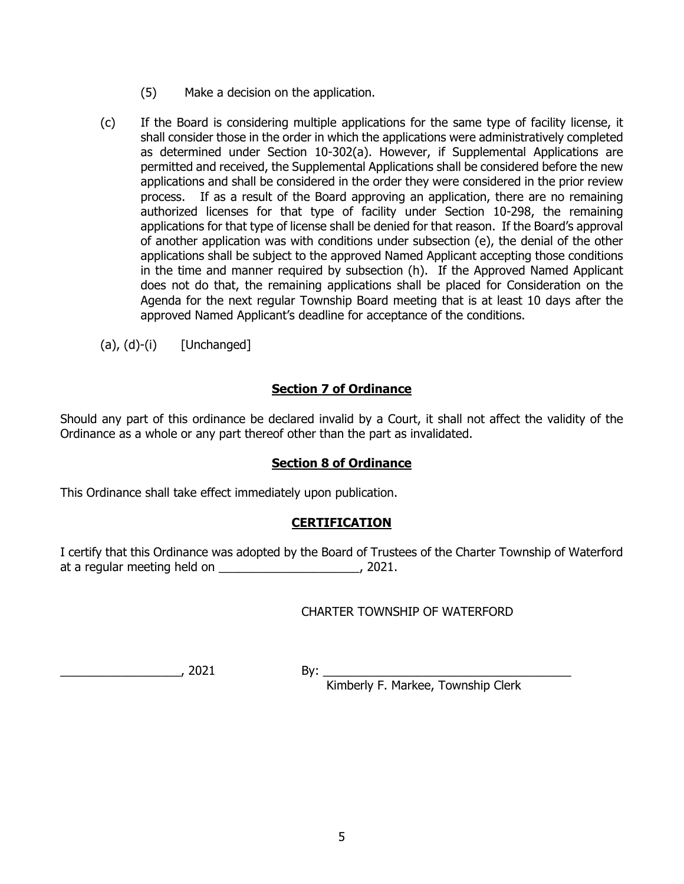- (5) Make a decision on the application.
- (c) If the Board is considering multiple applications for the same type of facility license, it shall consider those in the order in which the applications were administratively completed as determined under Section 10-302(a). However, if Supplemental Applications are permitted and received, the Supplemental Applications shall be considered before the new applications and shall be considered in the order they were considered in the prior review process. If as a result of the Board approving an application, there are no remaining authorized licenses for that type of facility under Section 10-298, the remaining applications for that type of license shall be denied for that reason. If the Board's approval of another application was with conditions under subsection (e), the denial of the other applications shall be subject to the approved Named Applicant accepting those conditions in the time and manner required by subsection (h). If the Approved Named Applicant does not do that, the remaining applications shall be placed for Consideration on the Agenda for the next regular Township Board meeting that is at least 10 days after the approved Named Applicant's deadline for acceptance of the conditions.

 $(a), (d)-(i)$  [Unchanged]

# **Section 7 of Ordinance**

Should any part of this ordinance be declared invalid by a Court, it shall not affect the validity of the Ordinance as a whole or any part thereof other than the part as invalidated.

# **Section 8 of Ordinance**

This Ordinance shall take effect immediately upon publication.

# **CERTIFICATION**

I certify that this Ordinance was adopted by the Board of Trustees of the Charter Township of Waterford at a regular meeting held on \_\_\_\_\_\_\_\_\_\_\_\_\_\_\_\_\_\_\_\_\_, 2021.

# CHARTER TOWNSHIP OF WATERFORD

\_\_\_\_\_\_\_\_\_\_\_\_\_\_\_\_\_\_, 2021 By: \_\_\_\_\_\_\_\_\_\_\_\_\_\_\_\_\_\_\_\_\_\_\_\_\_\_\_\_\_\_\_\_\_\_\_\_\_

Kimberly F. Markee, Township Clerk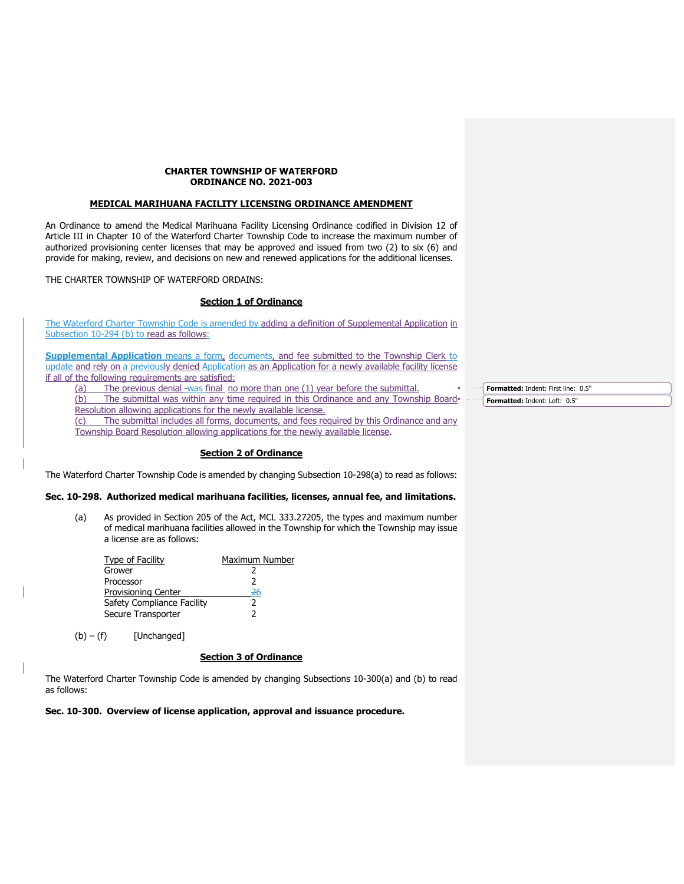#### **CHARTER TOWNSHIP OF WATERFORD ORDINANCE NO. 2021-003**

#### **MEDICAL MARIHUANA FACILITY LICENSING ORDINANCE AMENDMENT**

An Ordinance to amend the Medical Marihuana Facility Licensing Ordinance codified in Division 12 of Article III in Chapter 10 of the Waterford Charter Township Code to increase the maximum number of authorized provisioning center licenses that may be approved and issued from two (2) to six (6) and provide for making, review, and decisions on new and renewed applications for the additional licenses.

THE CHARTER TOWNSHIP OF WATERFORD ORDAINS:

### **Section 1 of Ordinance**

The Waterford Charter Township Code is amended by adding a definition of Supplemental Application in Subsection 10-294 (b) to read as follows:

**Supplemental Application** means a form, documents, and fee submitted to the Township Clerk to update and rely on a previously denied Application as an Application for a newly available facility license if all of the following requirements are satisfied:

(a) The previous denial was final no more than one (1) year before the submittal.

(b) The submittal was within any time required in this Ordinance and any Township Board+ Resolution allowing applications for the newly available license.

(c) The submittal includes all forms, documents, and fees required by this Ordinance and any Township Board Resolution allowing applications for the newly available license.

### **Section 2 of Ordinance**

The Waterford Charter Township Code is amended by changing Subsection 10-298(a) to read as follows:

### **Sec. 10-298. Authorized medical marihuana facilities, licenses, annual fee, and limitations.**

(a) As provided in Section 205 of the Act, MCL 333.27205, the types and maximum number of medical marihuana facilities allowed in the Township for which the Township may issue a license are as follows:

| Type of Facility           | Maximum Number |
|----------------------------|----------------|
| Grower                     |                |
| Processor                  | 2              |
| Provisioning Center        | 26             |
| Safety Compliance Facility |                |
| Secure Transporter         |                |

 $(b) - (f)$  [Unchanged]

### **Section 3 of Ordinance**

The Waterford Charter Township Code is amended by changing Subsections 10-300(a) and (b) to read as follows:

**Sec. 10-300. Overview of license application, approval and issuance procedure.** 

**Formatted:** Indent: First line: 0.5" **Formatted:** Indent: Left: 0.5"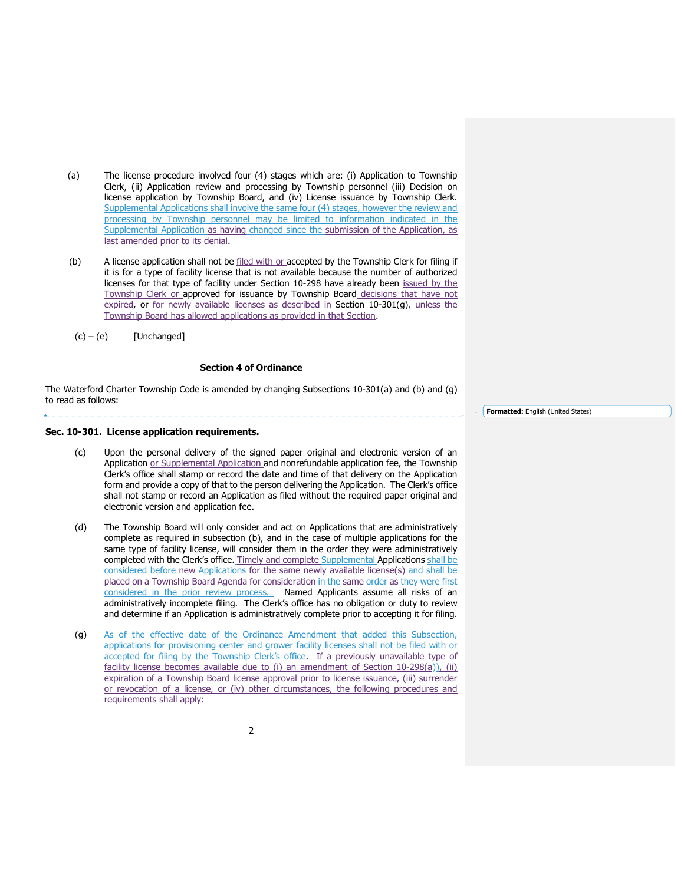- (a) The license procedure involved four (4) stages which are: (i) Application to Township Clerk, (ii) Application review and processing by Township personnel (iii) Decision on license application by Township Board, and (iv) License issuance by Township Clerk. Supplemental Applications shall involve the same four (4) stages, however the review and processing by Township personnel may be limited to information indicated in the Supplemental Application as having changed since the submission of the Application, as last amended prior to its denial.
- (b) A license application shall not be filed with or accepted by the Township Clerk for filing if it is for a type of facility license that is not available because the number of authorized licenses for that type of facility under Section 10-298 have already been issued by the Township Clerk or approved for issuance by Township Board decisions that have not expired, or for newly available licenses as described in Section 10-301(g), unless the Township Board has allowed applications as provided in that Section.
- $(c) (e)$  [Unchanged]

#### **Section 4 of Ordinance**

The Waterford Charter Township Code is amended by changing Subsections 10-301(a) and (b) and (g) to read as follows:

#### **Sec. 10-301. License application requirements.**

- (c) Upon the personal delivery of the signed paper original and electronic version of an Application or Supplemental Application and nonrefundable application fee, the Township Clerk's office shall stamp or record the date and time of that delivery on the Application form and provide a copy of that to the person delivering the Application. The Clerk's office shall not stamp or record an Application as filed without the required paper original and electronic version and application fee.
- (d) The Township Board will only consider and act on Applications that are administratively complete as required in subsection (b), and in the case of multiple applications for the same type of facility license, will consider them in the order they were administratively completed with the Clerk's office. Timely and complete Supplemental Applications shall be considered before new Applications for the same newly available license(s) and shall be placed on a Township Board Agenda for consideration in the same order as they were first considered in the prior review process. Named Applicants assume all risks of an administratively incomplete filing. The Clerk's office has no obligation or duty to review and determine if an Application is administratively complete prior to accepting it for filing.
- (g) As of the effective date of the Ordinance Amendment that added this Subsection, applications for provisioning center and grower facility licenses shall not be filed with or accepted for filing by the Township Clerk's office. If a previously unavailable type of facility license becomes available due to (i) an amendment of Section 10-298 $(a)$ ), (ii) expiration of a Township Board license approval prior to license issuance, (iii) surrender or revocation of a license, or (iv) other circumstances, the following procedures and requirements shall apply:

**Formatted:** English (United States)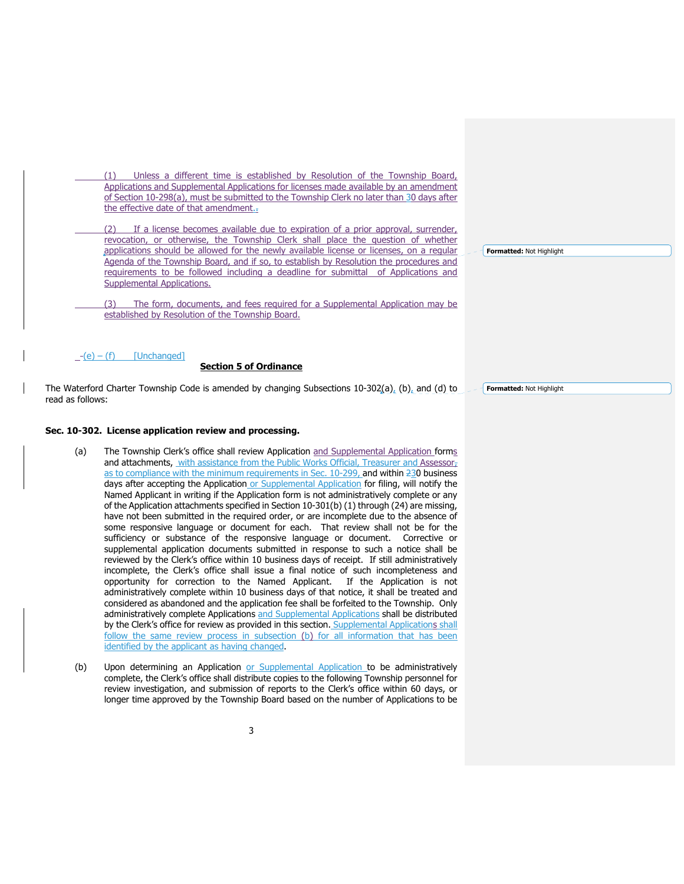(1) Unless a different time is established by Resolution of the Township Board, Applications and Supplemental Applications for licenses made available by an amendment of Section 10-298(a), must be submitted to the Township Clerk no later than 30 days after the effective date of that amendment...

If a license becomes available due to expiration of a prior approval, surrender, revocation, or otherwise, the Township Clerk shall place the question of whether applications should be allowed for the newly available license or licenses, on a regular Agenda of the Township Board, and if so, to establish by Resolution the procedures and requirements to be followed including a deadline for submittal of Applications and Supplemental Applications.

 (3) The form, documents, and fees required for a Supplemental Application may be established by Resolution of the Township Board.

#### $-(e) - (f)$  [Unchanged]

#### **Section 5 of Ordinance**

The Waterford Charter Township Code is amended by changing Subsections 10-302(a), (b), and (d) to read as follows:

#### **Sec. 10-302. License application review and processing.**

- (a) The Township Clerk's office shall review Application and Supplemental Application forms and attachments, with assistance from the Public Works Official, Treasurer and Assessor, as to compliance with the minimum requirements in Sec. 10-299, and within 230 business days after accepting the Application or Supplemental Application for filing, will notify the Named Applicant in writing if the Application form is not administratively complete or any of the Application attachments specified in Section 10-301(b) (1) through (24) are missing, have not been submitted in the required order, or are incomplete due to the absence of some responsive language or document for each. That review shall not be for the sufficiency or substance of the responsive language or document. Corrective or supplemental application documents submitted in response to such a notice shall be reviewed by the Clerk's office within 10 business days of receipt. If still administratively incomplete, the Clerk's office shall issue a final notice of such incompleteness and opportunity for correction to the Named Applicant. If the Application is not administratively complete within 10 business days of that notice, it shall be treated and considered as abandoned and the application fee shall be forfeited to the Township. Only administratively complete Applications and Supplemental Applications shall be distributed by the Clerk's office for review as provided in this section. Supplemental Applications shall follow the same review process in subsection (b) for all information that has been identified by the applicant as having changed.
- (b) Upon determining an Application or Supplemental Application to be administratively complete, the Clerk's office shall distribute copies to the following Township personnel for review investigation, and submission of reports to the Clerk's office within 60 days, or longer time approved by the Township Board based on the number of Applications to be

**Formatted:** Not Highlight

**Formatted:** Not Highlight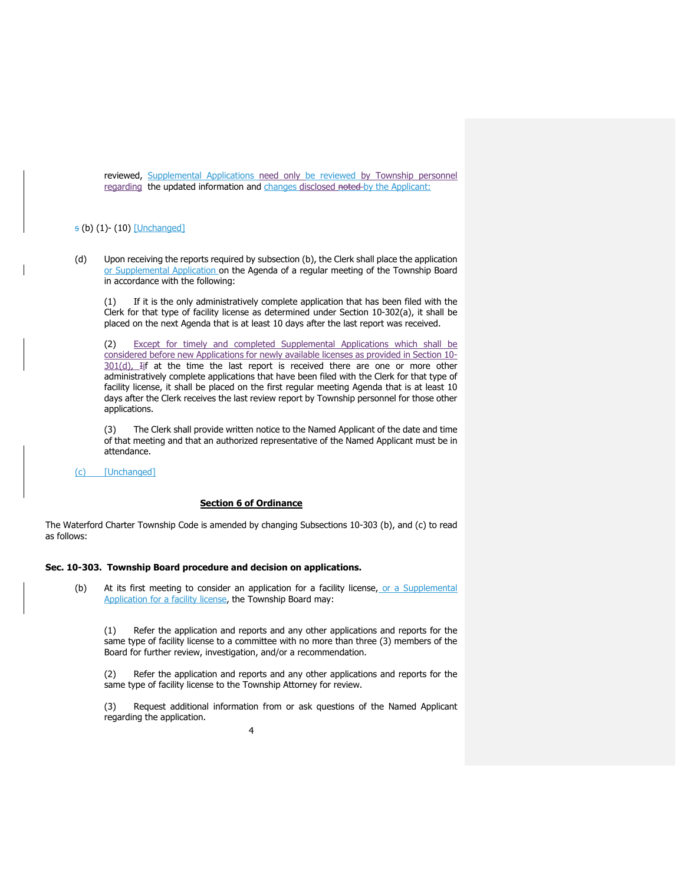reviewed, Supplemental Applications need only be reviewed by Township personnel regarding the updated information and changes disclosed noted by the Applicant:

### s (b) (1)- (10) [Unchanged]

(d) Upon receiving the reports required by subsection (b), the Clerk shall place the application or Supplemental Application on the Agenda of a regular meeting of the Township Board in accordance with the following:

(1) If it is the only administratively complete application that has been filed with the Clerk for that type of facility license as determined under Section 10-302(a), it shall be placed on the next Agenda that is at least 10 days after the last report was received.

(2) Except for timely and completed Supplemental Applications which shall be considered before new Applications for newly available licenses as provided in Section 10- 301(d), Iif at the time the last report is received there are one or more other administratively complete applications that have been filed with the Clerk for that type of facility license, it shall be placed on the first regular meeting Agenda that is at least 10 days after the Clerk receives the last review report by Township personnel for those other applications.

(3) The Clerk shall provide written notice to the Named Applicant of the date and time of that meeting and that an authorized representative of the Named Applicant must be in attendance.

(c) [Unchanged]

#### **Section 6 of Ordinance**

The Waterford Charter Township Code is amended by changing Subsections 10-303 (b), and (c) to read as follows:

#### **Sec. 10-303. Township Board procedure and decision on applications.**

(b) At its first meeting to consider an application for a facility license, or a Supplemental Application for a facility license, the Township Board may:

(1) Refer the application and reports and any other applications and reports for the same type of facility license to a committee with no more than three (3) members of the Board for further review, investigation, and/or a recommendation.

(2) Refer the application and reports and any other applications and reports for the same type of facility license to the Township Attorney for review.

(3) Request additional information from or ask questions of the Named Applicant regarding the application.